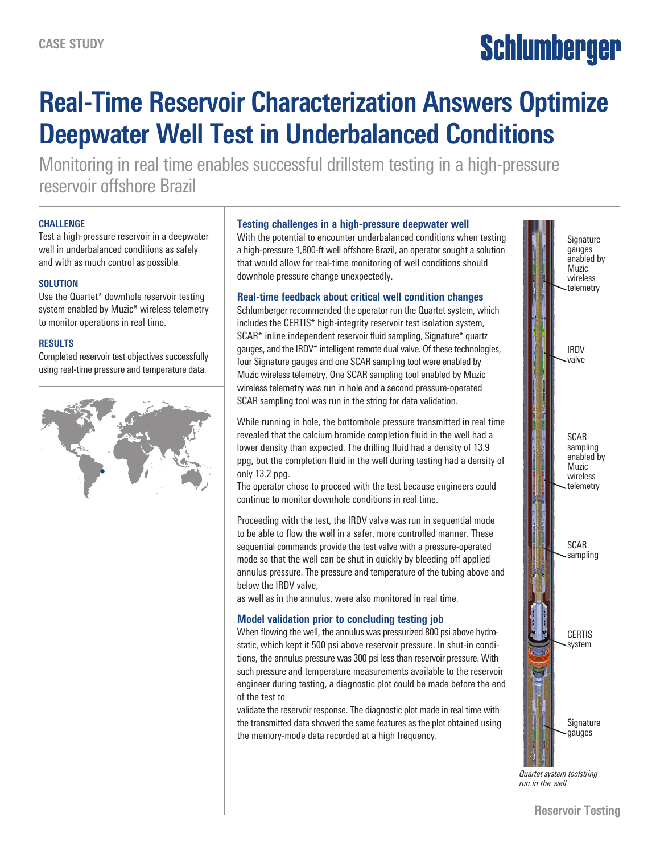# Schlumberger

## **Real-Time Reservoir Characterization Answers Optimize Deepwater Well Test in Underbalanced Conditions**

Monitoring in real time enables successful drillstem testing in a high-pressure reservoir offshore Brazil

#### **CHALLENGE**

Test a high-pressure reservoir in a deepwater well in underbalanced conditions as safely and with as much control as possible.

#### **SOLUTION**

Use the Quartet\* downhole reservoir testing system enabled by Muzic\* wireless telemetry to monitor operations in real time.

#### **RESULTS**

Completed reservoir test objectives successfully using real-time pressure and temperature data.



#### **Testing challenges in a high-pressure deepwater well**

With the potential to encounter underbalanced conditions when testing a high-pressure 1,800-ft well offshore Brazil, an operator sought a solution that would allow for real-time monitoring of well conditions should downhole pressure change unexpectedly.

#### **Real-time feedback about critical well condition changes**

Schlumberger recommended the operator run the Quartet system, which includes the CERTIS\* high-integrity reservoir test isolation system, SCAR\* inline independent reservoir fluid sampling, Signature\* quartz gauges, and the IRDV\* intelligent remote dual valve. Of these technologies, four Signature gauges and one SCAR sampling tool were enabled by Muzic wireless telemetry. One SCAR sampling tool enabled by Muzic wireless telemetry was run in hole and a second pressure-operated SCAR sampling tool was run in the string for data validation.

While running in hole, the bottomhole pressure transmitted in real time revealed that the calcium bromide completion fluid in the well had a lower density than expected. The drilling fluid had a density of 13.9 ppg, but the completion fluid in the well during testing had a density of only 13.2 ppg.

The operator chose to proceed with the test because engineers could continue to monitor downhole conditions in real time.

Proceeding with the test, the IRDV valve was run in sequential mode to be able to flow the well in a safer, more controlled manner. These sequential commands provide the test valve with a pressure-operated mode so that the well can be shut in quickly by bleeding off applied annulus pressure. The pressure and temperature of the tubing above and below the IRDV valve,

as well as in the annulus, were also monitored in real time.

### **Model validation prior to concluding testing job**

When flowing the well, the annulus was pressurized 800 psi above hydrostatic, which kept it 500 psi above reservoir pressure. In shut-in conditions, the annulus pressure was 300 psi less than reservoir pressure. With such pressure and temperature measurements available to the reservoir engineer during testing, a diagnostic plot could be made before the end of the test to

validate the reservoir response. The diagnostic plot made in real time with the transmitted data showed the same features as the plot obtained using the memory-mode data recorded at a high frequency.



*Quartet system toolstring run in the well.*